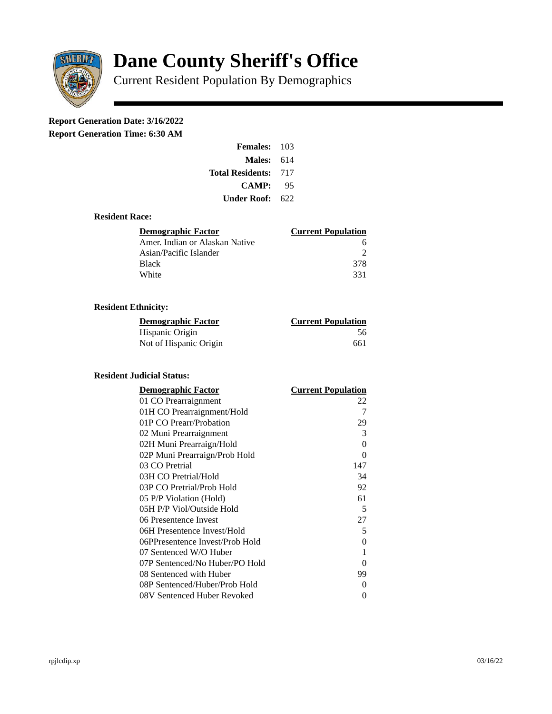

# **Dane County Sheriff's Office**

Current Resident Population By Demographics

# **Report Generation Date: 3/16/2022**

**Report Generation Time: 6:30 AM** 

| Females:                | 103  |
|-------------------------|------|
| Males:                  | 614  |
| <b>Total Residents:</b> | -717 |
| <b>CAMP:</b>            | 95   |
| Under Roof: \           | 622  |

#### **Resident Race:**

| Demographic Factor             | <b>Current Population</b> |
|--------------------------------|---------------------------|
| Amer. Indian or Alaskan Native | h                         |
| Asian/Pacific Islander         | ר                         |
| <b>Black</b>                   | -378                      |
| White                          | 331                       |

# **Resident Ethnicity:**

| <u>Demographic Factor</u> | <u>Current Population</u> |
|---------------------------|---------------------------|
| Hispanic Origin           | 56                        |
| Not of Hispanic Origin    | 661                       |

## **Resident Judicial Status:**

| <b>Demographic Factor</b>       | <b>Current Population</b> |
|---------------------------------|---------------------------|
| 01 CO Prearraignment            | 22                        |
| 01H CO Prearraignment/Hold      | 7                         |
| 01P CO Prearr/Probation         | 29                        |
| 02 Muni Prearraignment          | 3                         |
| 02H Muni Prearraign/Hold        | $\Omega$                  |
| 02P Muni Prearraign/Prob Hold   | 0                         |
| 03 CO Pretrial                  | 147                       |
| 03H CO Pretrial/Hold            | 34                        |
| 03P CO Pretrial/Prob Hold       | 92                        |
| 05 P/P Violation (Hold)         | 61                        |
| 05H P/P Viol/Outside Hold       | 5                         |
| 06 Presentence Invest           | 27                        |
| 06H Presentence Invest/Hold     | 5                         |
| 06PPresentence Invest/Prob Hold | 0                         |
| 07 Sentenced W/O Huber          | 1                         |
| 07P Sentenced/No Huber/PO Hold  | 0                         |
| 08 Sentenced with Huber         | 99                        |
| 08P Sentenced/Huber/Prob Hold   | 0                         |
| 08V Sentenced Huber Revoked     | 0                         |